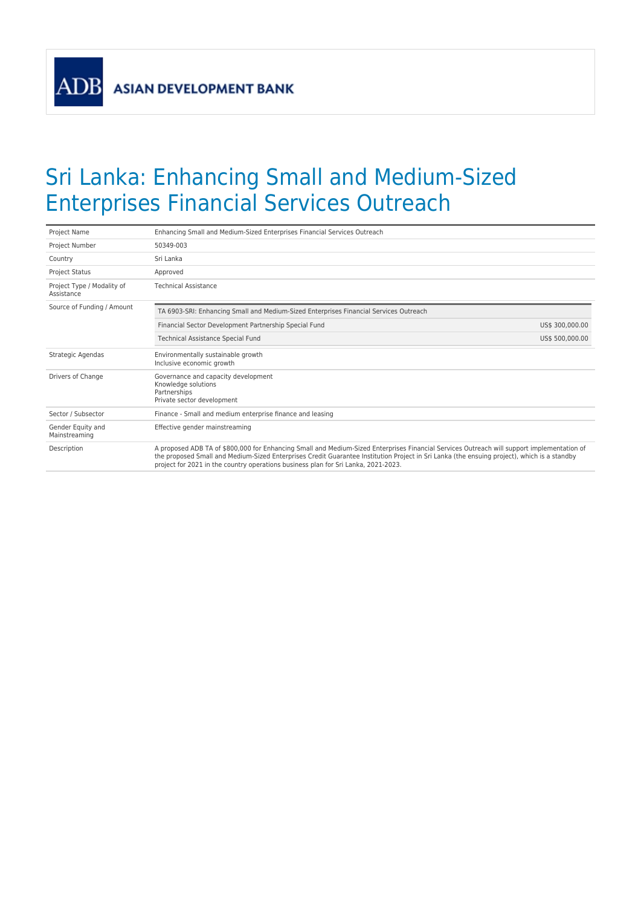**ADB** 

## Sri Lanka: Enhancing Small and Medium-Sized Enterprises Financial Services Outreach

| Project Name                             | Enhancing Small and Medium-Sized Enterprises Financial Services Outreach                                                                                                                                                                                                                                                                                                        |                 |  |  |
|------------------------------------------|---------------------------------------------------------------------------------------------------------------------------------------------------------------------------------------------------------------------------------------------------------------------------------------------------------------------------------------------------------------------------------|-----------------|--|--|
| Project Number                           | 50349-003                                                                                                                                                                                                                                                                                                                                                                       |                 |  |  |
| Country                                  | Sri Lanka                                                                                                                                                                                                                                                                                                                                                                       |                 |  |  |
| <b>Project Status</b>                    | Approved                                                                                                                                                                                                                                                                                                                                                                        |                 |  |  |
| Project Type / Modality of<br>Assistance | <b>Technical Assistance</b>                                                                                                                                                                                                                                                                                                                                                     |                 |  |  |
| Source of Funding / Amount               | TA 6903-SRI: Enhancing Small and Medium-Sized Enterprises Financial Services Outreach                                                                                                                                                                                                                                                                                           |                 |  |  |
|                                          | Financial Sector Development Partnership Special Fund                                                                                                                                                                                                                                                                                                                           | US\$ 300,000.00 |  |  |
|                                          | Technical Assistance Special Fund                                                                                                                                                                                                                                                                                                                                               | US\$ 500,000.00 |  |  |
| Strategic Agendas                        | Environmentally sustainable growth<br>Inclusive economic growth                                                                                                                                                                                                                                                                                                                 |                 |  |  |
| Drivers of Change                        | Governance and capacity development<br>Knowledge solutions<br>Partnerships<br>Private sector development                                                                                                                                                                                                                                                                        |                 |  |  |
| Sector / Subsector                       | Finance - Small and medium enterprise finance and leasing                                                                                                                                                                                                                                                                                                                       |                 |  |  |
| Gender Equity and<br>Mainstreaming       | Effective gender mainstreaming                                                                                                                                                                                                                                                                                                                                                  |                 |  |  |
| Description                              | A proposed ADB TA of \$800,000 for Enhancing Small and Medium-Sized Enterprises Financial Services Outreach will support implementation of<br>the proposed Small and Medium-Sized Enterprises Credit Guarantee Institution Project in Sri Lanka (the ensuing project), which is a standby<br>project for 2021 in the country operations business plan for Sri Lanka, 2021-2023. |                 |  |  |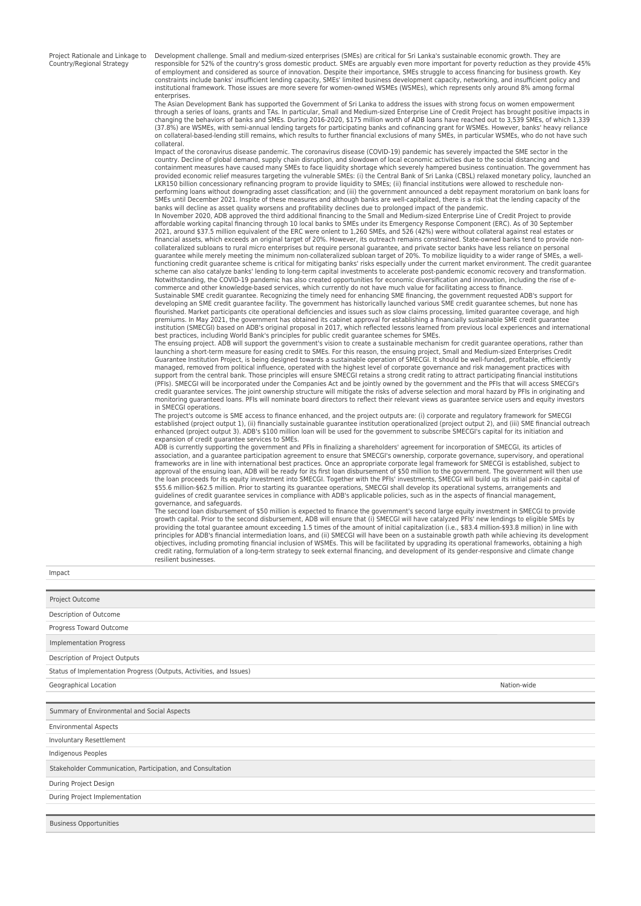Project Rationale and Linkage to Country/Regional Strategy

Development challenge. Small and medium-sized enterprises (SMEs) are critical for Sri Lanka's sustainable economic growth. They are responsible for 52% of the country's gross domestic product. SMEs are arguably even more important for poverty reduction as they provide 45% of employment and considered as source of innovation. Despite their importance, SMEs struggle to access financing for business growth. Key constraints include banks' insufficient lending capacity, SMEs' limited business development capacity, networking, and insufficient policy and institutional framework. Those issues are more severe for women-owned WSMEs (WSMEs), which represents only around 8% among formal enterprises.

The Asian Development Bank has supported the Government of Sri Lanka to address the issues with strong focus on women empowerment through a series of loans, grants and TAs. In particular, Small and Medium-sized Enterprise Line of Credit Project has brought positive impacts in changing the behaviors of banks and SMEs. During 2016-2020, \$175 million worth of ADB loans have reached out to 3,539 SMEs, of which 1,339 (37.8%) are WSMEs, with semi-annual lending targets for participating banks and cofinancing grant for WSMEs. However, banks' heavy reliance<br>on collateral-based-lending still remains, which results to further financial excl collateral.

Impact of the coronavirus disease pandemic. The coronavirus disease (COVID-19) pandemic has severely impacted the SME sector in the country. Decline of global demand, supply chain disruption, and slowdown of local economic activities due to the social distancing and containment measures have caused many SMEs to face liquidity shortage which severely hampered business continuation. The government has<br>provided economic relief measures targeting the vulnerable SMEs: (i) the Central Bank LKR150 billion concessionary refinancing program to provide liquidity to SMEs; (ii) financial institutions were allowed to reschedule nonperforming loans without downgrading asset classification; and (iii) the government announced a debt repayment moratorium on bank loans for<br>SMEs until December 2021. Inspite of these measures and although banks are well-ca

banks will decline as asset quality worsens and profitability declines due to prolonged impact of the pandemic.<br>In November 2020, ADB approved the third additional financing to the Small and Medium-sized Enterprise Line of affordable working capital financing through 10 local banks to SMEs under its Emergency Response Component (ERC). As of 30 September 2021, around \$37.5 million equivalent of the ERC were onlent to 1,260 SMEs, and 526 (42%) were without collateral against real estates or<br>financial assets, which exceeds an original target of 20%. However, its outreach rem collateralized subloans to rural micro enterprises but require personal guarantee, and private sector banks have less reliance on personal guarantee while merely meeting the minimum non-collateralized subloan target of 20%. To mobilize liquidity to a wider range of SMEs, a well-<br>functioning credit guarantee scheme is critical for mitigating banks' risks espec scheme can also catalyze banks' lending to long-term capital investments to accelerate post-pandemic economic recovery and transformation. Notwithstanding, the COVID-19 pandemic has also created opportunities for economic diversification and innovation, including the rise of e-<br>commerce and other knowledge-based services, which currently do not have much valu

Sustainable SME credit guarantee. Recognizing the timely need for enhancing SME financing, the government requested ADB's support for<br>developing an SME credit guarantee facility. The government has historically launched va premiums. In May 2021, the government has obtained its cabinet approval for establishing a financially sustainable SME credit guarantee institution (SMECGI) based on ADB's original proposal in 2017, which reflected lessons learned from previous local experiences and international<br>best practices, including World Bank's principles for public credit guarantee

The ensuing project. ADB will support the government's vision to create a sustainable mechanism for credit guarantee operations, rather than launching a short-term measure for easing credit to SMEs. For this reason, the ensuing project, Small and Medium-sized Enterprises Credit<br>Guarantee Institution Project, is being designed towards a sustainable operation of managed, removed from political influence, operated with the highest level of corporate governance and risk management practices with support from the central bank. Those principles will ensure SMECGI retains a strong credit rating to attract participating financial institutions<br>(PFIs). SMECGI will be incorporated under the Companies Act and be jointly o credit guarantee services. The joint ownership structure will mitigate the risks of adverse selection and moral hazard by PFIs in originating and monitoring guaranteed loans. PFIs will nominate board directors to reflect their relevant views as guarantee service users and equity investors in SMECGI operations.

The project's outcome is SME access to finance enhanced, and the project outputs are: (i) corporate and regulatory framework for SMECGI<br>established (project output 1), (ii) financially sustainable guarantee institution ope expansion of credit guarantee services to SMEs.

ADB is currently supporting the government and PFIs in finalizing a shareholders' agreement for incorporation of SMECGI, its articles of association, and a guarantee participation agreement to ensure that SMECGI's ownership, corporate governance, supervisory, and operational frameworks are in line with international best practices. Once an appropriate corporate legal framework for SMECGI is established, subject to<br>approval of the ensuing loan, ADB will be ready for its first loan disbursement the loan proceeds for its equity investment into SMECGI. Together with the PFIs' investments, SMECGI will build up its initial paid-in capital of<br>\$55.6 million-\$62.5 million. Prior to starting its guarantee operations, SME guidelines of credit guarantee services in compliance with ADB's applicable policies, such as in the aspects of financial management, governance, and safeguards.

The second loan disbursement of \$50 million is expected to finance the government's second large equity investment in SMECGI to provide<br>growth capital. Prior to the second disbursement, ADB will ensure that (i) SMECGI will providing the total guarantee amount exceeding 1.5 times of the amount of initial capitalization (i.e., \$83.4 million-\$93.8 million) in line with<br>principles for ADB's financial intermediation Ioans, and (ii) SMECGI will ha objectives, including promoting financial inclusion of WSMEs. This will be facilitated by upgrading its operational frameworks, obtaining a high<br>credit rating, formulation of a long-term strategy to seek external financing resilient businesses.

Impact

| Project Outcome                                                     |             |
|---------------------------------------------------------------------|-------------|
| Description of Outcome                                              |             |
| Progress Toward Outcome                                             |             |
| <b>Implementation Progress</b>                                      |             |
| Description of Project Outputs                                      |             |
| Status of Implementation Progress (Outputs, Activities, and Issues) |             |
| Geographical Location                                               | Nation-wide |
|                                                                     |             |
| Summary of Environmental and Social Aspects                         |             |
| <b>Environmental Aspects</b>                                        |             |
| Involuntary Resettlement                                            |             |
| Indigenous Peoples                                                  |             |
| Stakeholder Communication, Participation, and Consultation          |             |
| During Project Design                                               |             |
| During Project Implementation                                       |             |
|                                                                     |             |
| <b>Business Opportunities</b>                                       |             |
|                                                                     |             |